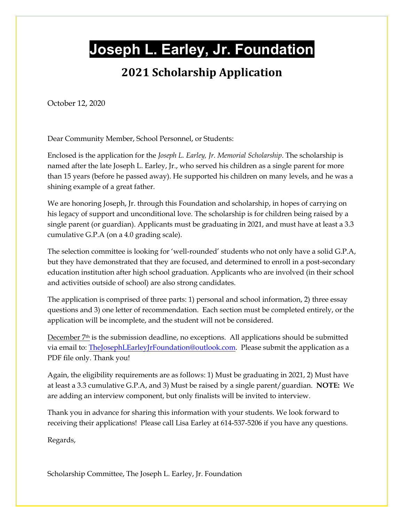# **Joseph L. Earley, Jr. Foundation**

### **2021 Scholarship Application**

October 12, 2020

Dear Community Member, School Personnel, or Students:

Enclosed is the application for the *Joseph L. Earley, Jr. Memorial Scholarship*. The scholarship is named after the late Joseph L. Earley, Jr., who served his children as a single parent for more than 15 years (before he passed away). He supported his children on many levels, and he was a shining example of a great father.

We are honoring Joseph, Jr. through this Foundation and scholarship, in hopes of carrying on his legacy of support and unconditional love. The scholarship is for children being raised by a single parent (or guardian). Applicants must be graduating in 2021, and must have at least a 3.3 cumulative G.P.A (on a 4.0 grading scale).

The selection committee is looking for 'well-rounded' students who not only have a solid G.P.A, but they have demonstrated that they are focused, and determined to enroll in a post-secondary education institution after high school graduation. Applicants who are involved (in their school and activities outside of school) are also strong candidates.

The application is comprised of three parts: 1) personal and school information, 2) three essay questions and 3) one letter of recommendation. Each section must be completed entirely, or the application will be incomplete, and the student will not be considered.

December 7<sup>th</sup> is the submission deadline, no exceptions. All applications should be submitted via email to: [TheJosephLEarleyJrFoundation@outlook.com.](mailto:TheJosephLEarleyJrFoundation@outlook.com) Please submit the application as a PDF file only. Thank you!

Again, the eligibility requirements are as follows: 1) Must be graduating in 2021, 2) Must have at least a 3.3 cumulative G.P.A, and 3) Must be raised by a single parent/guardian. **NOTE:** We are adding an interview component, but only finalists will be invited to interview.

Thank you in advance for sharing this information with your students. We look forward to receiving their applications! Please call Lisa Earley at 614-537-5206 if you have any questions.

Regards,

Scholarship Committee, The Joseph L. Earley, Jr. Foundation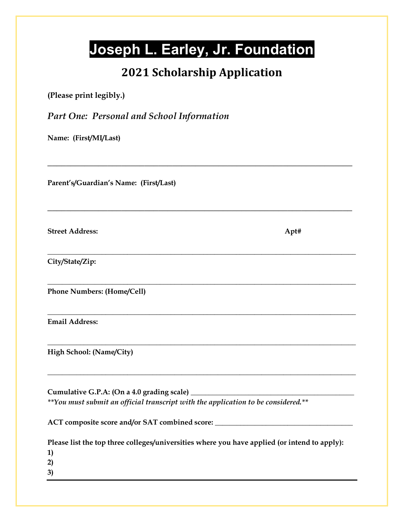# **Joseph L. Earley, Jr. Foundation**

## **2021 Scholarship Application**

**\_\_\_\_\_\_\_\_\_\_\_\_\_\_\_\_\_\_\_\_\_\_\_\_\_\_\_\_\_\_\_\_\_\_\_\_\_\_\_\_\_\_\_\_\_\_\_\_\_\_\_\_\_\_\_\_\_\_\_\_\_\_\_\_\_\_**

**\_\_\_\_\_\_\_\_\_\_\_\_\_\_\_\_\_\_\_\_\_\_\_\_\_\_\_\_\_\_\_\_\_\_\_\_\_\_\_\_\_\_\_\_\_\_\_\_\_\_\_\_\_\_\_\_\_\_\_\_\_\_\_\_\_\_**

**\_\_\_\_\_\_\_\_\_\_\_\_\_\_\_\_\_\_\_\_\_\_\_\_\_\_\_\_\_\_\_\_\_\_\_\_\_\_\_\_\_\_\_\_\_\_\_\_\_\_\_\_\_\_\_\_\_\_\_\_\_\_\_\_\_\_\_\_\_\_\_\_\_\_\_\_\_\_\_\_\_\_\_\_\_**

**\_\_\_\_\_\_\_\_\_\_\_\_\_\_\_\_\_\_\_\_\_\_\_\_\_\_\_\_\_\_\_\_\_\_\_\_\_\_\_\_\_\_\_\_\_\_\_\_\_\_\_\_\_\_\_\_\_\_\_\_\_\_\_\_\_\_\_\_\_\_\_\_\_\_\_\_\_\_\_\_\_\_\_\_\_**

**\_\_\_\_\_\_\_\_\_\_\_\_\_\_\_\_\_\_\_\_\_\_\_\_\_\_\_\_\_\_\_\_\_\_\_\_\_\_\_\_\_\_\_\_\_\_\_\_\_\_\_\_\_\_\_\_\_\_\_\_\_\_\_\_\_\_\_\_\_\_\_\_\_\_\_\_\_\_\_\_\_\_\_\_\_**

**\_\_\_\_\_\_\_\_\_\_\_\_\_\_\_\_\_\_\_\_\_\_\_\_\_\_\_\_\_\_\_\_\_\_\_\_\_\_\_\_\_\_\_\_\_\_\_\_\_\_\_\_\_\_\_\_\_\_\_\_\_\_\_\_\_\_\_\_\_\_\_\_\_\_\_\_\_\_\_\_\_\_\_\_\_**

**\_\_\_\_\_\_\_\_\_\_\_\_\_\_\_\_\_\_\_\_\_\_\_\_\_\_\_\_\_\_\_\_\_\_\_\_\_\_\_\_\_\_\_\_\_\_\_\_\_\_\_\_\_\_\_\_\_\_\_\_\_\_\_\_\_\_\_\_\_\_\_\_\_\_\_\_\_\_\_\_\_\_\_\_\_**

**(Please print legibly.)**

*Part One: Personal and School Information*

**Name: (First/MI/Last)**

**Parent's/Guardian's Name: (First/Last)**

**Street Address: Apt#**

**City/State/Zip:**

**Phone Numbers: (Home/Cell)**

**Email Address:**

**High School: (Name/City)**

**Cumulative G.P.A: (On a 4.0 grading scale) \_\_\_\_\_\_\_\_\_\_\_\_\_\_\_\_\_\_\_\_\_\_\_\_\_\_\_\_\_\_\_\_\_\_\_\_\_\_\_\_\_\_\_\_\_** *\*\*You must submit an official transcript with the application to be considered.\*\**

**ACT composite score and/or SAT combined score: \_\_\_\_\_\_\_\_\_\_\_\_\_\_\_\_\_\_\_\_\_\_\_\_\_\_\_\_\_\_\_\_\_\_\_\_\_\_**

| Please list the top three colleges/universities where you have applied (or intend to apply): |
|----------------------------------------------------------------------------------------------|
| 1)                                                                                           |
| 2)                                                                                           |
| <b>3</b>                                                                                     |